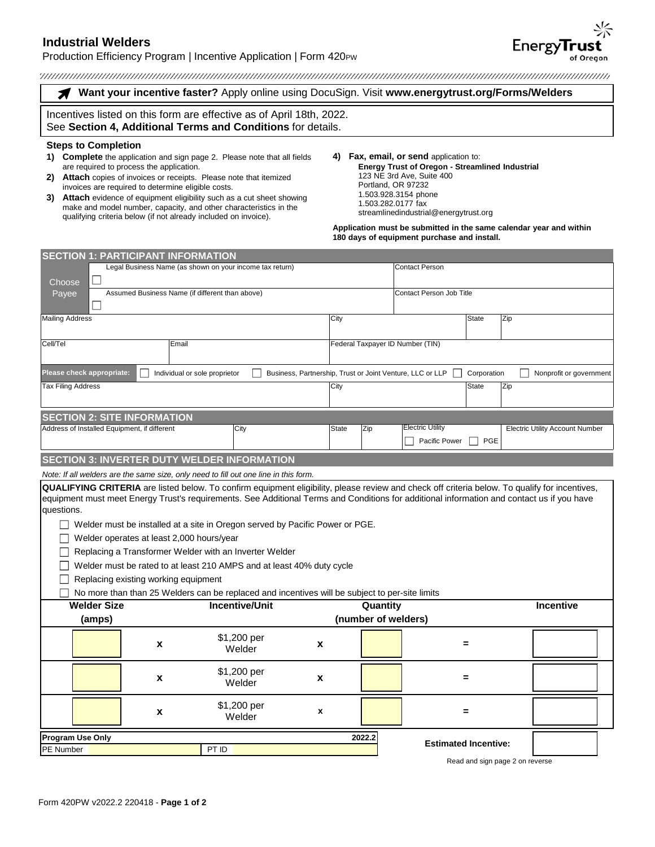# **Industrial Welders**

## Production Efficiency Program | Incentive Application | Form 420PW

**Want your incentive faster?** Apply online using DocuSign. Visit **[www.energytrust.org/Forms/Welders](https://www.energytrust.org/Forms/Welders)** Â

Incentives listed on this form are effective as of April 18th, 2022. See **Section 4, Additional Terms and Conditions** for details.

## **Steps to Completion**

- **1) Complete** the application and sign page 2. Please note that all fields are required to process the application.
- **2) Attach** copies of invoices or receipts. Please note that itemized invoices are required to determine eligible costs.
- **3) Attach** evidence of equipment eligibility such as a cut sheet showing make and model number, capacity, and other characteristics in the qualifying criteria below (if not already included on invoice).
- **4) Fax, email, or send** application to: **Energy Trust of Oregon - Streamlined Industrial** 123 NE 3rd Ave, Suite 400 Portland, OR 97232 1.503.928.3154 phone 1.503.282.0177 fax streamlinedindustrial@energytrust.org

**Application must be submitted in the same calendar year and within 180 days of equipment purchase and install.** 

| <b>SECTION 1: PARTICIPANT INFORMATION</b>                                                                                                                                                                                                                                                                         |                                                                                                |                                                 |                                                           |                                  |                             |              |                                        |  |
|-------------------------------------------------------------------------------------------------------------------------------------------------------------------------------------------------------------------------------------------------------------------------------------------------------------------|------------------------------------------------------------------------------------------------|-------------------------------------------------|-----------------------------------------------------------|----------------------------------|-----------------------------|--------------|----------------------------------------|--|
|                                                                                                                                                                                                                                                                                                                   | Legal Business Name (as shown on your income tax return)                                       |                                                 |                                                           |                                  | <b>Contact Person</b>       |              |                                        |  |
| ⊔<br>Choose                                                                                                                                                                                                                                                                                                       |                                                                                                |                                                 |                                                           |                                  |                             |              |                                        |  |
| Payee                                                                                                                                                                                                                                                                                                             |                                                                                                | Assumed Business Name (if different than above) |                                                           |                                  | Contact Person Job Title    |              |                                        |  |
| <b>Mailing Address</b>                                                                                                                                                                                                                                                                                            |                                                                                                |                                                 | City                                                      |                                  |                             | <b>State</b> | Zip                                    |  |
| Cell/Tel                                                                                                                                                                                                                                                                                                          | Email                                                                                          |                                                 |                                                           | Federal Taxpayer ID Number (TIN) |                             |              |                                        |  |
| Please check appropriate:                                                                                                                                                                                                                                                                                         | Individual or sole proprietor                                                                  |                                                 | Business, Partnership, Trust or Joint Venture, LLC or LLP |                                  |                             | Corporation  | Nonprofit or government                |  |
| Tax Filing Address                                                                                                                                                                                                                                                                                                |                                                                                                |                                                 | City                                                      |                                  |                             | <b>State</b> | Zip                                    |  |
| <b>SECTION 2: SITE INFORMATION</b>                                                                                                                                                                                                                                                                                |                                                                                                |                                                 |                                                           |                                  |                             |              |                                        |  |
| Address of Installed Equipment, if different                                                                                                                                                                                                                                                                      |                                                                                                | City                                            | State                                                     | Zip                              | <b>Electric Utility</b>     |              | <b>Electric Utility Account Number</b> |  |
|                                                                                                                                                                                                                                                                                                                   |                                                                                                |                                                 |                                                           |                                  | Pacific Power               | PGE          |                                        |  |
| <b>SECTION 3: INVERTER DUTY WELDER INFORMATION</b>                                                                                                                                                                                                                                                                |                                                                                                |                                                 |                                                           |                                  |                             |              |                                        |  |
| Note: If all welders are the same size, only need to fill out one line in this form.                                                                                                                                                                                                                              |                                                                                                |                                                 |                                                           |                                  |                             |              |                                        |  |
| <b>QUALIFYING CRITERIA</b> are listed below. To confirm equipment eligibility, please review and check off criteria below. To qualify for incentives,<br>equipment must meet Energy Trust's requirements. See Additional Terms and Conditions for additional information and contact us if you have<br>questions. |                                                                                                |                                                 |                                                           |                                  |                             |              |                                        |  |
| Welder must be installed at a site in Oregon served by Pacific Power or PGE.                                                                                                                                                                                                                                      |                                                                                                |                                                 |                                                           |                                  |                             |              |                                        |  |
| Welder operates at least 2,000 hours/year                                                                                                                                                                                                                                                                         |                                                                                                |                                                 |                                                           |                                  |                             |              |                                        |  |
| Replacing a Transformer Welder with an Inverter Welder                                                                                                                                                                                                                                                            |                                                                                                |                                                 |                                                           |                                  |                             |              |                                        |  |
| Welder must be rated to at least 210 AMPS and at least 40% duty cycle                                                                                                                                                                                                                                             |                                                                                                |                                                 |                                                           |                                  |                             |              |                                        |  |
| Replacing existing working equipment                                                                                                                                                                                                                                                                              |                                                                                                |                                                 |                                                           |                                  |                             |              |                                        |  |
|                                                                                                                                                                                                                                                                                                                   | No more than than 25 Welders can be replaced and incentives will be subject to per-site limits |                                                 |                                                           |                                  |                             |              |                                        |  |
| <b>Welder Size</b>                                                                                                                                                                                                                                                                                                |                                                                                                | <b>Incentive/Unit</b>                           |                                                           | Quantity                         |                             |              | <b>Incentive</b>                       |  |
| (amps)                                                                                                                                                                                                                                                                                                            |                                                                                                | (number of welders)                             |                                                           |                                  |                             |              |                                        |  |
|                                                                                                                                                                                                                                                                                                                   | x                                                                                              | \$1,200 per<br>Welder                           | х                                                         |                                  |                             |              |                                        |  |
|                                                                                                                                                                                                                                                                                                                   | $\pmb{\chi}$                                                                                   | \$1,200 per<br>Welder                           | $\pmb{\mathsf{x}}$                                        |                                  |                             | $=$          |                                        |  |
|                                                                                                                                                                                                                                                                                                                   | X                                                                                              | \$1,200 per<br>Welder                           | $\pmb{\mathsf{x}}$                                        |                                  |                             | =            |                                        |  |
| <b>Program Use Only</b>                                                                                                                                                                                                                                                                                           |                                                                                                |                                                 |                                                           | 2022.2                           |                             |              |                                        |  |
| PE Number                                                                                                                                                                                                                                                                                                         |                                                                                                | PT ID                                           |                                                           |                                  | <b>Estimated Incentive:</b> |              |                                        |  |
|                                                                                                                                                                                                                                                                                                                   |                                                                                                |                                                 |                                                           |                                  |                             |              | Read and sign page 2 on reverse        |  |